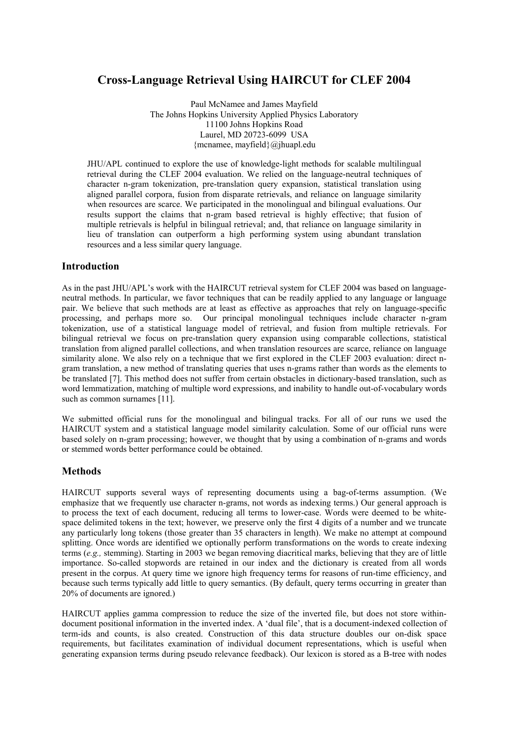# **Cross-Language Retrieval Using HAIRCUT for CLEF 2004**

Paul McNamee and James Mayfield The Johns Hopkins University Applied Physics Laboratory 11100 Johns Hopkins Road Laurel, MD 20723-6099 USA {mcnamee, mayfield}@jhuapl.edu

JHU/APL continued to explore the use of knowledge-light methods for scalable multilingual retrieval during the CLEF 2004 evaluation. We relied on the language-neutral techniques of character n-gram tokenization, pre-translation query expansion, statistical translation using aligned parallel corpora, fusion from disparate retrievals, and reliance on language similarity when resources are scarce. We participated in the monolingual and bilingual evaluations. Our results support the claims that n-gram based retrieval is highly effective; that fusion of multiple retrievals is helpful in bilingual retrieval; and, that reliance on language similarity in lieu of translation can outperform a high performing system using abundant translation resources and a less similar query language.

### **Introduction**

As in the past JHU/APL's work with the HAIRCUT retrieval system for CLEF 2004 was based on languageneutral methods. In particular, we favor techniques that can be readily applied to any language or language pair. We believe that such methods are at least as effective as approaches that rely on language-specific processing, and perhaps more so. Our principal monolingual techniques include character n-gram tokenization, use of a statistical language model of retrieval, and fusion from multiple retrievals. For bilingual retrieval we focus on pre-translation query expansion using comparable collections, statistical translation from aligned parallel collections, and when translation resources are scarce, reliance on language similarity alone. We also rely on a technique that we first explored in the CLEF 2003 evaluation: direct ngram translation, a new method of translating queries that uses n-grams rather than words as the elements to be translated [\[7\].](#page-6-0) This method does not suffer from certain obstacles in dictionary-based translation, such as word lemmatization, matching of multiple word expressions, and inability to handle out-of-vocabulary words such as common surnames [\[11\].](#page-6-1)

We submitted official runs for the monolingual and bilingual tracks. For all of our runs we used the HAIRCUT system and a statistical language model similarity calculation. Some of our official runs were based solely on n-gram processing; however, we thought that by using a combination of n-grams and words or stemmed words better performance could be obtained.

#### **Methods**

HAIRCUT supports several ways of representing documents using a bag-of-terms assumption. (We emphasize that we frequently use character n-grams, not words as indexing terms.) Our general approach is to process the text of each document, reducing all terms to lower-case. Words were deemed to be whitespace delimited tokens in the text; however, we preserve only the first 4 digits of a number and we truncate any particularly long tokens (those greater than 35 characters in length). We make no attempt at compound splitting. Once words are identified we optionally perform transformations on the words to create indexing terms (*e.g.,* stemming). Starting in 2003 we began removing diacritical marks, believing that they are of little importance. So-called stopwords are retained in our index and the dictionary is created from all words present in the corpus. At query time we ignore high frequency terms for reasons of run-time efficiency, and because such terms typically add little to query semantics. (By default, query terms occurring in greater than 20% of documents are ignored.)

HAIRCUT applies gamma compression to reduce the size of the inverted file, but does not store withindocument positional information in the inverted index. A 'dual file', that is a document-indexed collection of term-ids and counts, is also created. Construction of this data structure doubles our on-disk space requirements, but facilitates examination of individual document representations, which is useful when generating expansion terms during pseudo relevance feedback). Our lexicon is stored as a B-tree with nodes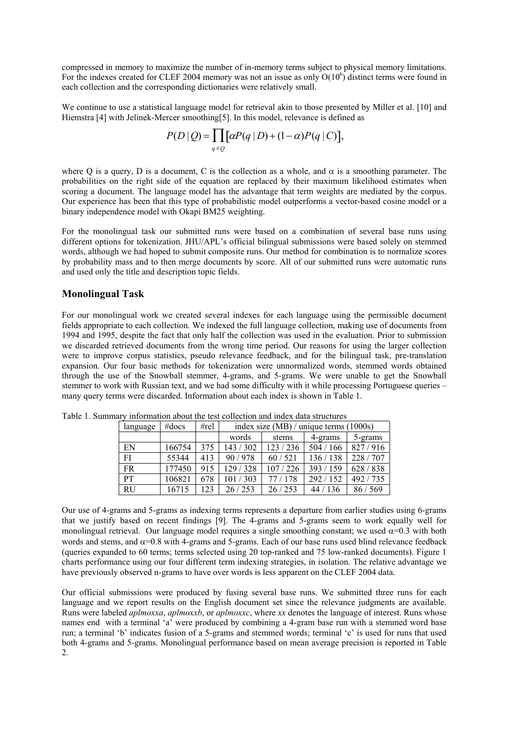compressed in memory to maximize the number of in-memory terms subject to physical memory limitations. For the indexes created for CLEF 2004 memory was not an issue as only  $O(10^6)$  distinct terms were found in each collection and the corresponding dictionaries were relatively small.

We continue to use a statistical language model for retrieval akin to those presented by Miller et al. [\[10\]](#page-6-2) and Hiemstra [\[4\]](#page-6-3) with Jelinek-Mercer smoothing[\[5\].](#page-6-4) In this model, relevance is defined as

$$
P(D | Q) = \prod_{q \in Q} [\alpha P(q | D) + (1 - \alpha) P(q | C)],
$$

where Q is a query, D is a document, C is the collection as a whole, and  $\alpha$  is a smoothing parameter. The probabilities on the right side of the equation are replaced by their maximum likelihood estimates when scoring a document. The language model has the advantage that term weights are mediated by the corpus. Our experience has been that this type of probabilistic model outperforms a vector-based cosine model or a binary independence model with Okapi BM25 weighting.

For the monolingual task our submitted runs were based on a combination of several base runs using different options for tokenization. JHU/APL's official bilingual submissions were based solely on stemmed words, although we had hoped to submit composite runs. Our method for combination is to normalize scores by probability mass and to then merge documents by score. All of our submitted runs were automatic runs and used only the title and description topic fields.

### **Monolingual Task**

For our monolingual work we created several indexes for each language using the permissible document fields appropriate to each collection. We indexed the full language collection, making use of documents from 1994 and 1995, despite the fact that only half the collection was used in the evaluation. Prior to submission we discarded retrieved documents from the wrong time period. Our reasons for using the larger collection were to improve corpus statistics, pseudo relevance feedback, and for the bilingual task, pre-translation expansion. Our four basic methods for tokenization were unnormalized words, stemmed words obtained through the use of the Snowball stemmer, 4-grams, and 5-grams. We were unable to get the Snowball stemmer to work with Russian text, and we had some difficulty with it while processing Portuguese queries – many query terms were discarded. Information about each index is shown in Table 1.

| language  | $#$ docs | #rel | index size $(MB)$ / unique terms $(1000s)$ |         |          |           |  |
|-----------|----------|------|--------------------------------------------|---------|----------|-----------|--|
|           |          |      | words                                      | stems   | 4-grams  | 5-grams   |  |
| EN        | 166754   | 375  | 143/302                                    | 123/236 | 504/166  | 827/916   |  |
| FI        | 55344    | 413  | 90/978                                     | 60/521  | 136/138  | 228/707   |  |
| <b>FR</b> | 177450   | 915  | 129/328                                    | 107/226 | 393/159  | 628/838   |  |
| PT        | 106821   | 678  | 101/303                                    | 77/178  | 292/152  | 492 / 735 |  |
| <b>RU</b> | 16715    | 123  | 26/253                                     | 26/253  | 44 / 136 | 86 / 569  |  |

Table 1. Summary information about the test collection and index data structures

Our use of 4-grams and 5-grams as indexing terms represents a departure from earlier studies using 6-grams that we justify based on recent findings [\[9\].](#page-6-5) The 4-grams and 5-grams seem to work equally well for monolingual retrieval. Our language model requires a single smoothing constant; we used  $\alpha$ =0.3 with both words and stems, and  $\alpha$ =0.8 with 4-grams and 5-grams. Each of our base runs used blind relevance feedback (queries expanded to 60 terms; terms selected using 20 top-ranked and 75 low-ranked documents). Figure 1 charts performance using our four different term indexing strategies, in isolation. The relative advantage we have previously observed n-grams to have over words is less apparent on the CLEF 2004 data.

Our official submissions were produced by fusing several base runs. We submitted three runs for each language and we report results on the English document set since the relevance judgments are available. Runs were labeled *aplmoxxa*, *aplmoxxb*, or *aplmoxxc*, where *xx* denotes the language of interest. Runs whose names end with a terminal 'a' were produced by combining a 4-gram base run with a stemmed word base run; a terminal 'b' indicates fusion of a 5-grams and stemmed words; terminal 'c' is used for runs that used both 4-grams and 5-grams. Monolingual performance based on mean average precision is reported in Table 2.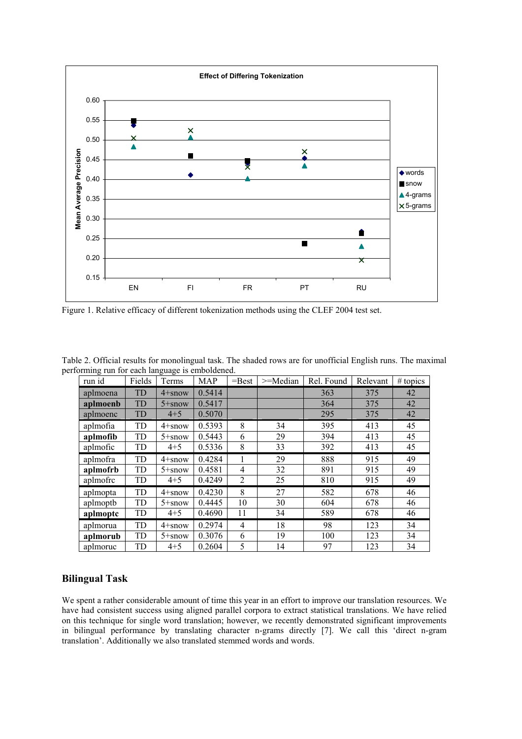

Figure 1. Relative efficacy of different tokenization methods using the CLEF 2004 test set.

Table 2. Official results for monolingual task. The shaded rows are for unofficial English runs. The maximal performing run for each language is emboldened.

| run id   | Fields | Terms     | MAP    | $=$ Best       | $>=$ Median | Rel. Found | Relevant | $#$ topics |
|----------|--------|-----------|--------|----------------|-------------|------------|----------|------------|
| aplmoena | TD     | $4+$ snow | 0.5414 |                |             | 363        | 375      | 42         |
| aplmoenb | TD     | 5+snow    | 0.5417 |                |             | 364        | 375      | 42         |
| aplmoenc | TD     | $4 + 5$   | 0.5070 |                |             | 295        | 375      | 42         |
| aplmofia | TD     | $4+$ snow | 0.5393 | 8              | 34          | 395        | 413      | 45         |
| aplmofib | TD     | 5+snow    | 0.5443 | 6              | 29          | 394        | 413      | 45         |
| aplmofic | TD     | $4 + 5$   | 0.5336 | 8              | 33          | 392        | 413      | 45         |
| aplmofra | TD     | $4+$ snow | 0.4284 |                | 29          | 888        | 915      | 49         |
| aplmofrb | TD     | $5+$ snow | 0.4581 | 4              | 32          | 891        | 915      | 49         |
| aplmofrc | TD     | $4 + 5$   | 0.4249 | 2              | 25          | 810        | 915      | 49         |
| aplmopta | TD     | $4+$ snow | 0.4230 | 8              | 27          | 582        | 678      | 46         |
| aplmoptb | TD     | 5+snow    | 0.4445 | 10             | 30          | 604        | 678      | 46         |
| aplmoptc | TD     | $4 + 5$   | 0.4690 | 11             | 34          | 589        | 678      | 46         |
| aplmorua | TD     | 4+snow    | 0.2974 | $\overline{4}$ | 18          | 98         | 123      | 34         |
| aplmorub | TD     | $5+$ snow | 0.3076 | 6              | 19          | 100        | 123      | 34         |
| aplmoruc | TD     | $4 + 5$   | 0.2604 | 5              | 14          | 97         | 123      | 34         |

## **Bilingual Task**

We spent a rather considerable amount of time this year in an effort to improve our translation resources. We have had consistent success using aligned parallel corpora to extract statistical translations. We have relied on this technique for single word translation; however, we recently demonstrated significant improvements in bilingual performance by translating character n-grams directly [\[7\].](#page-6-0) We call this 'direct n-gram translation'. Additionally we also translated stemmed words and words.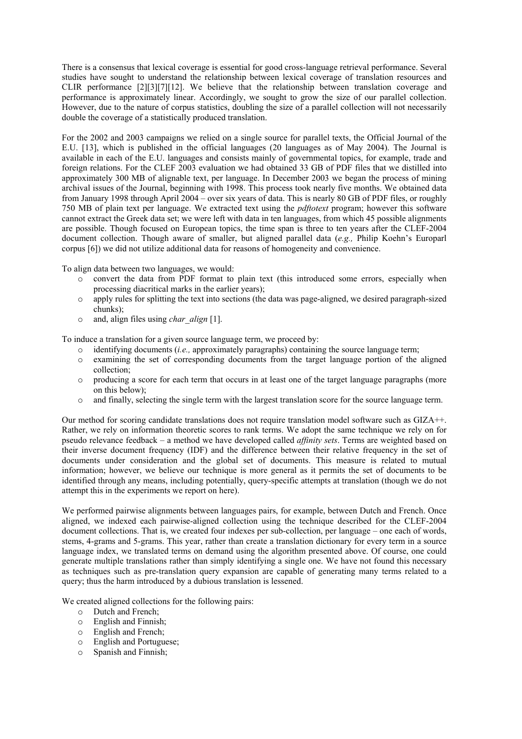There is a consensus that lexical coverage is essential for good cross-language retrieval performance. Several studies have sought to understand the relationship between lexical coverage of translation resources and CLIR performance [\[2\]](#page-6-6)[\[3\]](#page-6-7)[\[7\]](#page-6-0)[\[12\].](#page-6-8) We believe that the relationship between translation coverage and performance is approximately linear. Accordingly, we sought to grow the size of our parallel collection. However, due to the nature of corpus statistics, doubling the size of a parallel collection will not necessarily double the coverage of a statistically produced translation.

For the 2002 and 2003 campaigns we relied on a single source for parallel texts, the Official Journal of the E.U. [\[13\],](#page-6-9) which is published in the official languages (20 languages as of May 2004). The Journal is available in each of the E.U. languages and consists mainly of governmental topics, for example, trade and foreign relations. For the CLEF 2003 evaluation we had obtained 33 GB of PDF files that we distilled into approximately 300 MB of alignable text, per language. In December 2003 we began the process of mining archival issues of the Journal, beginning with 1998. This process took nearly five months. We obtained data from January 1998 through April 2004 – over six years of data. This is nearly 80 GB of PDF files, or roughly 750 MB of plain text per language. We extracted text using the *pdftotext* program; however this software cannot extract the Greek data set; we were left with data in ten languages, from which 45 possible alignments are possible. Though focused on European topics, the time span is three to ten years after the CLEF-2004 document collection. Though aware of smaller, but aligned parallel data (*e.g.,* Philip Koehn's Europarl corpus [\[6\]\)](#page-6-10) we did not utilize additional data for reasons of homogeneity and convenience.

To align data between two languages, we would:

- o convert the data from PDF format to plain text (this introduced some errors, especially when processing diacritical marks in the earlier years);
- o apply rules for splitting the text into sections (the data was page-aligned, we desired paragraph-sized chunks);
- o and, align files using *char\_align* [\[1\].](#page-6-11)

To induce a translation for a given source language term, we proceed by:

- o identifying documents (*i.e.,* approximately paragraphs) containing the source language term;
- o examining the set of corresponding documents from the target language portion of the aligned collection;
- o producing a score for each term that occurs in at least one of the target language paragraphs (more on this below);
- o and finally, selecting the single term with the largest translation score for the source language term.

Our method for scoring candidate translations does not require translation model software such as GIZA++. Rather, we rely on information theoretic scores to rank terms. We adopt the same technique we rely on for pseudo relevance feedback – a method we have developed called *affinity sets*. Terms are weighted based on their inverse document frequency (IDF) and the difference between their relative frequency in the set of documents under consideration and the global set of documents. This measure is related to mutual information; however, we believe our technique is more general as it permits the set of documents to be identified through any means, including potentially, query-specific attempts at translation (though we do not attempt this in the experiments we report on here).

We performed pairwise alignments between languages pairs, for example, between Dutch and French. Once aligned, we indexed each pairwise-aligned collection using the technique described for the CLEF-2004 document collections. That is, we created four indexes per sub-collection, per language – one each of words, stems, 4-grams and 5-grams. This year, rather than create a translation dictionary for every term in a source language index, we translated terms on demand using the algorithm presented above. Of course, one could generate multiple translations rather than simply identifying a single one. We have not found this necessary as techniques such as pre-translation query expansion are capable of generating many terms related to a query; thus the harm introduced by a dubious translation is lessened.

We created aligned collections for the following pairs:

- o Dutch and French;
- o English and Finnish;
- o English and French;
- o English and Portuguese;
- o Spanish and Finnish;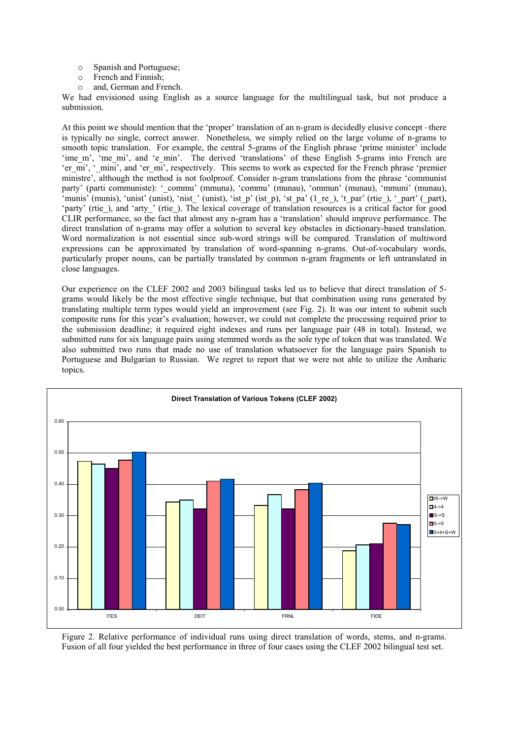- o Spanish and Portuguese;
- o French and Finnish;
- o and, German and French.

We had envisioned using English as a source language for the multilingual task, but not produce a submission.

At this point we should mention that the 'proper' translation of an n-gram is decidedly elusive concept –there is typically no single, correct answer. Nonetheless, we simply relied on the large volume of n-grams to smooth topic translation. For example, the central 5-grams of the English phrase 'prime minister' include 'ime\_m', 'me\_mi', and 'e\_min'. The derived 'translations' of these English 5-grams into French are 'er\_mi', '\_mini', and 'er\_mi', respectively. This seems to work as expected for the French phrase 'premier ministre', although the method is not foolproof. Consider n-gram translations from the phrase 'communist party' (parti communiste): '\_commu' (mmuna), 'commu' (munau), 'ommun' (munau), 'mmuni' (munau), 'munis' (munis), 'unist' (unist), 'nist ' (unist), 'ist p' (ist p), 'st pa' (1\_re\_), 't\_par' (rtie\_), '\_part' (\_part), 'party' (rtie\_), and 'arty\_' (rtie\_). The lexical coverage of translation resources is a critical factor for good CLIR performance, so the fact that almost any n-gram has a 'translation' should improve performance. The direct translation of n-grams may offer a solution to several key obstacles in dictionary-based translation. Word normalization is not essential since sub-word strings will be compared. Translation of multiword expressions can be approximated by translation of word-spanning n-grams. Out-of-vocabulary words, particularly proper nouns, can be partially translated by common n-gram fragments or left untranslated in close languages.

Our experience on the CLEF 2002 and 2003 bilingual tasks led us to believe that direct translation of 5 grams would likely be the most effective single technique, but that combination using runs generated by translating multiple term types would yield an improvement (see Fig. 2). It was our intent to submit such composite runs for this year's evaluation; however, we could not complete the processing required prior to the submission deadline; it required eight indexes and runs per language pair (48 in total). Instead, we submitted runs for six language pairs using stemmed words as the sole type of token that was translated. We also submitted two runs that made no use of translation whatsoever for the language pairs Spanish to Portuguese and Bulgarian to Russian. We regret to report that we were not able to utilize the Amharic topics.



Figure 2. Relative performance of individual runs using direct translation of words, stems, and n-grams. Fusion of all four yielded the best performance in three of four cases using the CLEF 2002 bilingual test set.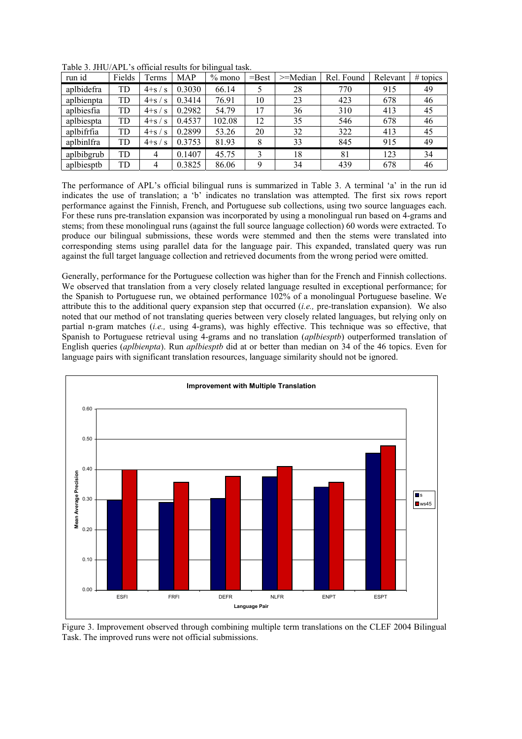| run id     | Fields | Terms   | MAP    | $\%$ mono | $=$ Best | >=Median | Rel. Found | Relevant | $#$ topics |
|------------|--------|---------|--------|-----------|----------|----------|------------|----------|------------|
| aplbidefra | TD     | $4+s/s$ | 0.3030 | 66.14     |          | 28       | 770        | 915      | 49         |
| aplbienpta | TD     | $4+s/s$ | 0.3414 | 76.91     | 10       | 23       | 423        | 678      | 46         |
| aplbiesfia | TD     | $4+s/s$ | 0.2982 | 54.79     | 17       | 36       | 310        | 413      | 45         |
| aplbiespta | TD     | $4+s/s$ | 0.4537 | 102.08    | 12       | 35       | 546        | 678      | 46         |
| aplbifrfia | TD     | $4+s/s$ | 0.2899 | 53.26     | 20       | 32       | 322        | 413      | 45         |
| aplbinlfra | TD     | $4+s/s$ | 0.3753 | 81.93     | 8        | 33       | 845        | 915      | 49         |
| aplbibgrub | TD     | 4       | 0.1407 | 45.75     | 3        | 18       | 81         | 123      | 34         |
| aplbiesptb | TD     | 4       | 0.3825 | 86.06     | 9        | 34       | 439        | 678      | 46         |

Table 3. JHU/APL's official results for bilingual task.

The performance of APL's official bilingual runs is summarized in Table 3. A terminal 'a' in the run id indicates the use of translation; a 'b' indicates no translation was attempted. The first six rows report performance against the Finnish, French, and Portuguese sub collections, using two source languages each. For these runs pre-translation expansion was incorporated by using a monolingual run based on 4-grams and stems; from these monolingual runs (against the full source language collection) 60 words were extracted. To produce our bilingual submissions, these words were stemmed and then the stems were translated into corresponding stems using parallel data for the language pair. This expanded, translated query was run against the full target language collection and retrieved documents from the wrong period were omitted.

Generally, performance for the Portuguese collection was higher than for the French and Finnish collections. We observed that translation from a very closely related language resulted in exceptional performance; for the Spanish to Portuguese run, we obtained performance 102% of a monolingual Portuguese baseline. We attribute this to the additional query expansion step that occurred (*i.e.,* pre-translation expansion). We also noted that our method of not translating queries between very closely related languages, but relying only on partial n-gram matches (*i.e.,* using 4-grams), was highly effective. This technique was so effective, that Spanish to Portuguese retrieval using 4-grams and no translation (*aplbiesptb*) outperformed translation of English queries (*aplbienpta*). Run *aplbiesptb* did at or better than median on 34 of the 46 topics. Even for language pairs with significant translation resources, language similarity should not be ignored.



Figure 3. Improvement observed through combining multiple term translations on the CLEF 2004 Bilingual Task. The improved runs were not official submissions.